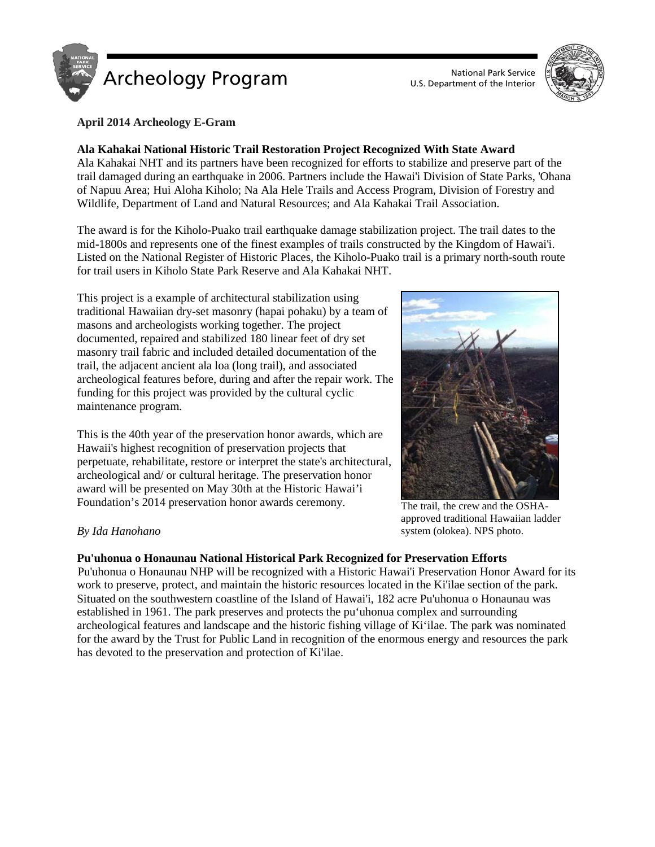

U.S. Department of the Interior



# **April 2014 Archeology E-Gram**

# **Ala Kahakai National Historic Trail Restoration Project Recognized With State Award**

Ala Kahakai NHT and its partners have been recognized for efforts to stabilize and preserve part of the trail damaged during an earthquake in 2006. Partners include the Hawai'i Division of State Parks, 'Ohana of Napuu Area; Hui Aloha Kiholo; Na Ala Hele Trails and Access Program, Division of Forestry and Wildlife, Department of Land and Natural Resources; and Ala Kahakai Trail Association.

The award is for the Kiholo-Puako trail earthquake damage stabilization project. The trail dates to the mid-1800s and represents one of the finest examples of trails constructed by the Kingdom of Hawai'i. Listed on the National Register of Historic Places, the Kiholo-Puako trail is a primary north-south route for trail users in Kiholo State Park Reserve and Ala Kahakai NHT.

This project is a example of architectural stabilization using traditional Hawaiian dry-set masonry (hapai pohaku) by a team of masons and archeologists working together. The project documented, repaired and stabilized 180 linear feet of dry set masonry trail fabric and included detailed documentation of the trail, the adjacent ancient ala loa (long trail), and associated archeological features before, during and after the repair work. The funding for this project was provided by the cultural cyclic maintenance program.

This is the 40th year of the preservation honor awards, which are Hawaii's highest recognition of preservation projects that perpetuate, rehabilitate, restore or interpret the state's architectural, archeological and/ or cultural heritage. The preservation honor award will be presented on May 30th at the Historic Hawai'i Foundation's 2014 preservation honor awards ceremony.

## *By Ida Hanohano*

## **Pu'uhonua o Honaunau National Historical Park Recognized for Preservation Efforts**

Pu'uhonua o Honaunau NHP will be recognized with a Historic Hawai'i Preservation Honor Award for its work to preserve, protect, and maintain the historic resources located in the Ki'ilae section of the park. Situated on the southwestern coastline of the Island of Hawai'i, 182 acre Pu'uhonua o Honaunau was established in 1961. The park preserves and protects the pu'uhonua complex and surrounding archeological features and landscape and the historic fishing village of Ki'ilae. The park was nominated for the award by the Trust for Public Land in recognition of the enormous energy and resources the park has devoted to the preservation and protection of Ki'ilae.



The trail, the crew and the OSHAapproved traditional Hawaiian ladder system (olokea). NPS photo.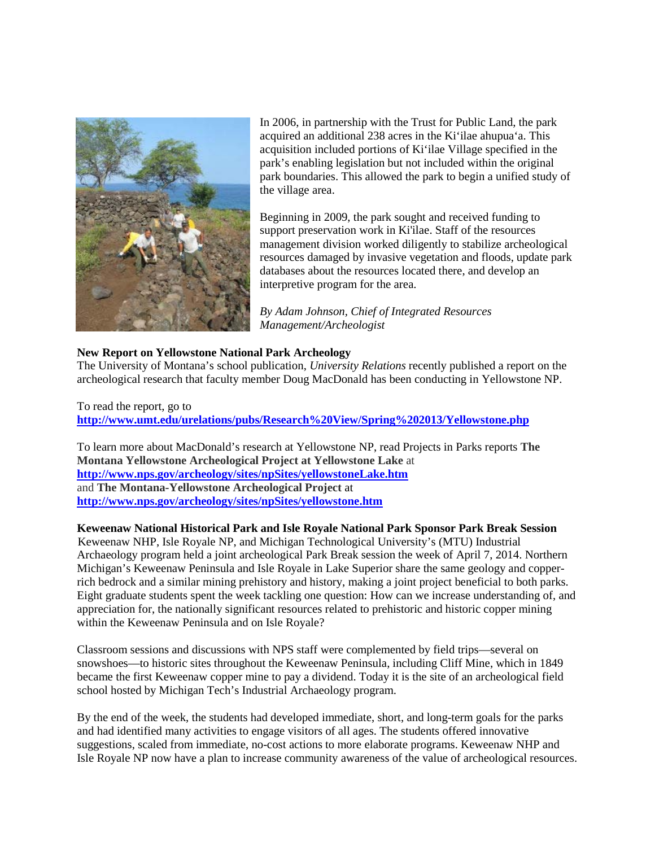

In 2006, in partnership with the Trust for Public Land, the park acquired an additional 238 acres in the Ki'ilae ahupua'a. This acquisition included portions of Ki'ilae Village specified in the park's enabling legislation but not included within the original park boundaries. This allowed the park to begin a unified study of the village area.

Beginning in 2009, the park sought and received funding to support preservation work in Ki'ilae. Staff of the resources management division worked diligently to stabilize archeological resources damaged by invasive vegetation and floods, update park databases about the resources located there, and develop an interpretive program for the area.

*By Adam Johnson, Chief of Integrated Resources Management/Archeologist*

# **New Report on Yellowstone National Park Archeology**

The University of Montana's school publication, *University Relations* recently published a report on the archeological research that faculty member Doug MacDonald has been conducting in Yellowstone NP.

To read the report, go to **<http://www.umt.edu/urelations/pubs/Research%20View/Spring%202013/Yellowstone.php>**

To learn more about MacDonald's research at Yellowstone NP, read Projects in Parks reports **The Montana Yellowstone Archeological Project at Yellowstone Lake** at **<http://www.nps.gov/archeology/sites/npSites/yellowstoneLake.htm>** and **The Montana-Yellowstone Archeological Project** at **<http://www.nps.gov/archeology/sites/npSites/yellowstone.htm>**

**Keweenaw National Historical Park and Isle Royale National Park Sponsor Park Break Session** Keweenaw NHP, Isle Royale NP, and Michigan Technological University's (MTU) Industrial Archaeology program held a joint archeological Park Break session the week of April 7, 2014. Northern Michigan's Keweenaw Peninsula and Isle Royale in Lake Superior share the same geology and copperrich bedrock and a similar mining prehistory and history, making a joint project beneficial to both parks. Eight graduate students spent the week tackling one question: How can we increase understanding of, and appreciation for, the nationally significant resources related to prehistoric and historic copper mining within the Keweenaw Peninsula and on Isle Royale?

Classroom sessions and discussions with NPS staff were complemented by field trips—several on snowshoes—to historic sites throughout the Keweenaw Peninsula, including Cliff Mine, which in 1849 became the first Keweenaw copper mine to pay a dividend. Today it is the site of an archeological field school hosted by Michigan Tech's Industrial Archaeology program.

By the end of the week, the students had developed immediate, short, and long-term goals for the parks and had identified many activities to engage visitors of all ages. The students offered innovative suggestions, scaled from immediate, no-cost actions to more elaborate programs. Keweenaw NHP and Isle Royale NP now have a plan to increase community awareness of the value of archeological resources.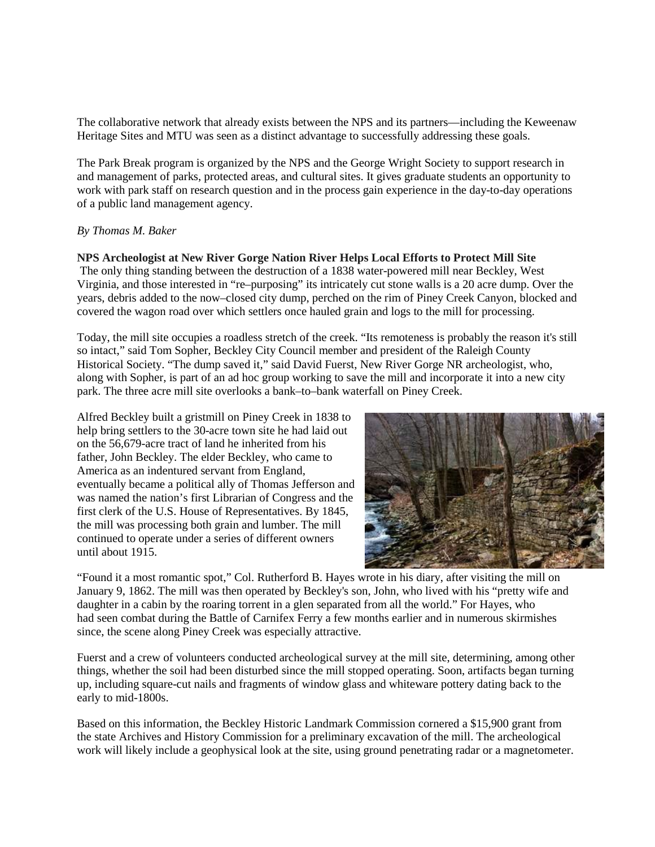The collaborative network that already exists between the NPS and its partners—including the Keweenaw Heritage Sites and MTU was seen as a distinct advantage to successfully addressing these goals.

The Park Break program is organized by the NPS and the George Wright Society to support research in and management of parks, protected areas, and cultural sites. It gives graduate students an opportunity to work with park staff on research question and in the process gain experience in the day-to-day operations of a public land management agency.

### *By Thomas M. Baker*

### **NPS Archeologist at New River Gorge Nation River Helps Local Efforts to Protect Mill Site**

The only thing standing between the destruction of a 1838 water-powered mill near Beckley, West Virginia, and those interested in "re–purposing" its intricately cut stone walls is a 20 acre dump. Over the years, debris added to the now–closed city dump, perched on the rim of Piney Creek Canyon, blocked and covered the wagon road over which settlers once hauled grain and logs to the mill for processing.

Today, the mill site occupies a roadless stretch of the creek. "Its remoteness is probably the reason it's still so intact," said Tom Sopher, Beckley City Council member and president of the Raleigh County Historical Society. "The dump saved it," said David Fuerst, New River Gorge NR archeologist, who, along with Sopher, is part of an ad hoc group working to save the mill and incorporate it into a new city park. The three acre mill site overlooks a bank–to–bank waterfall on Piney Creek.

Alfred Beckley built a gristmill on Piney Creek in 1838 to help bring settlers to the 30-acre town site he had laid out on the 56,679-acre tract of land he inherited from his father, John Beckley. The elder Beckley, who came to America as an indentured servant from England, eventually became a political ally of Thomas Jefferson and was named the nation's first Librarian of Congress and the first clerk of the U.S. House of Representatives. By 1845, the mill was processing both grain and lumber. The mill continued to operate under a series of different owners until about 1915.



"Found it a most romantic spot," Col. Rutherford B. Hayes wrote in his diary, after visiting the mill on January 9, 1862. The mill was then operated by Beckley's son, John, who lived with his "pretty wife and daughter in a cabin by the roaring torrent in a glen separated from all the world." For Hayes, who had seen combat during the Battle of Carnifex Ferry a few months earlier and in numerous skirmishes since, the scene along Piney Creek was especially attractive.

Fuerst and a crew of volunteers conducted archeological survey at the mill site, determining, among other things, whether the soil had been disturbed since the mill stopped operating. Soon, artifacts began turning up, including square-cut nails and fragments of window glass and whiteware pottery dating back to the early to mid-1800s.

Based on this information, the Beckley Historic Landmark Commission cornered a \$15,900 grant from the state Archives and History Commission for a preliminary excavation of the mill. The archeological work will likely include a geophysical look at the site, using ground penetrating radar or a magnetometer.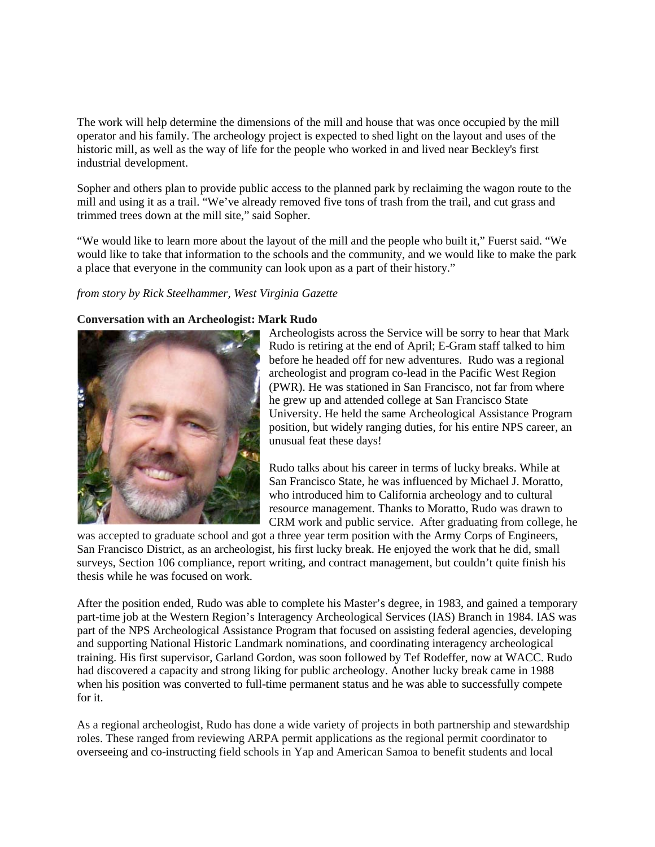The work will help determine the dimensions of the mill and house that was once occupied by the mill operator and his family. The archeology project is expected to shed light on the layout and uses of the historic mill, as well as the way of life for the people who worked in and lived near Beckley's first industrial development.

Sopher and others plan to provide public access to the planned park by reclaiming the wagon route to the mill and using it as a trail. "We've already removed five tons of trash from the trail, and cut grass and trimmed trees down at the mill site," said Sopher.

"We would like to learn more about the layout of the mill and the people who built it," Fuerst said. "We would like to take that information to the schools and the community, and we would like to make the park a place that everyone in the community can look upon as a part of their history."

## *from story by Rick Steelhammer, West Virginia Gazette*

#### **Conversation with an Archeologist: Mark Rudo**



Archeologists across the Service will be sorry to hear that Mark Rudo is retiring at the end of April; E-Gram staff talked to him before he headed off for new adventures. Rudo was a regional archeologist and program co-lead in the Pacific West Region (PWR). He was stationed in San Francisco, not far from where he grew up and attended college at San Francisco State University. He held the same Archeological Assistance Program position, but widely ranging duties, for his entire NPS career, an unusual feat these days!

Rudo talks about his career in terms of lucky breaks. While at San Francisco State, he was influenced by Michael J. Moratto, who introduced him to California archeology and to cultural resource management. Thanks to Moratto, Rudo was drawn to CRM work and public service. After graduating from college, he

was accepted to graduate school and got a three year term position with the Army Corps of Engineers, San Francisco District, as an archeologist, his first lucky break. He enjoyed the work that he did, small surveys, Section 106 compliance, report writing, and contract management, but couldn't quite finish his thesis while he was focused on work.

After the position ended, Rudo was able to complete his Master's degree, in 1983, and gained a temporary part-time job at the Western Region's Interagency Archeological Services (IAS) Branch in 1984. IAS was part of the NPS Archeological Assistance Program that focused on assisting federal agencies, developing and supporting National Historic Landmark nominations, and coordinating interagency archeological training. His first supervisor, Garland Gordon, was soon followed by Tef Rodeffer, now at WACC. Rudo had discovered a capacity and strong liking for public archeology. Another lucky break came in 1988 when his position was converted to full-time permanent status and he was able to successfully compete for it.

As a regional archeologist, Rudo has done a wide variety of projects in both partnership and stewardship roles. These ranged from reviewing ARPA permit applications as the regional permit coordinator to overseeing and co-instructing field schools in Yap and American Samoa to benefit students and local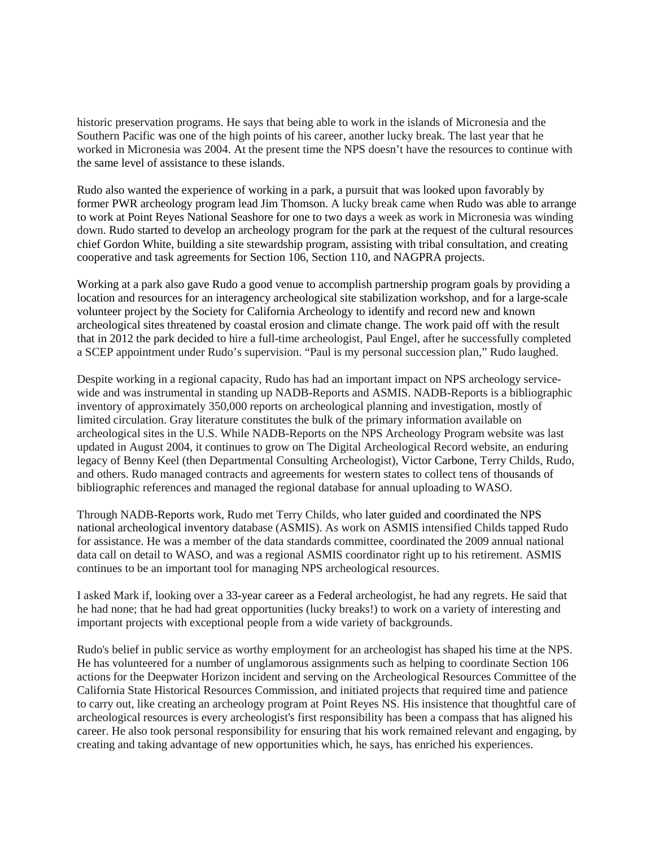historic preservation programs. He says that being able to work in the islands of Micronesia and the Southern Pacific was one of the high points of his career, another lucky break. The last year that he worked in Micronesia was 2004. At the present time the NPS doesn't have the resources to continue with the same level of assistance to these islands.

Rudo also wanted the experience of working in a park, a pursuit that was looked upon favorably by former PWR archeology program lead Jim Thomson. A lucky break came when Rudo was able to arrange to work at Point Reyes National Seashore for one to two days a week as work in Micronesia was winding down. Rudo started to develop an archeology program for the park at the request of the cultural resources chief Gordon White, building a site stewardship program, assisting with tribal consultation, and creating cooperative and task agreements for Section 106, Section 110, and NAGPRA projects.

Working at a park also gave Rudo a good venue to accomplish partnership program goals by providing a location and resources for an interagency archeological site stabilization workshop, and for a large-scale volunteer project by the Society for California Archeology to identify and record new and known archeological sites threatened by coastal erosion and climate change. The work paid off with the result that in 2012 the park decided to hire a full-time archeologist, Paul Engel, after he successfully completed a SCEP appointment under Rudo's supervision. "Paul is my personal succession plan," Rudo laughed.

Despite working in a regional capacity, Rudo has had an important impact on NPS archeology servicewide and was instrumental in standing up NADB-Reports and ASMIS. NADB-Reports is a bibliographic inventory of approximately 350,000 reports on archeological planning and investigation, mostly of limited circulation. Gray literature constitutes the bulk of the primary information available on archeological sites in the U.S. While NADB-Reports on the NPS Archeology Program website was last updated in August 2004, it continues to grow on The Digital Archeological Record website, an enduring legacy of Benny Keel (then Departmental Consulting Archeologist), Victor Carbone, Terry Childs, Rudo, and others. Rudo managed contracts and agreements for western states to collect tens of thousands of bibliographic references and managed the regional database for annual uploading to WASO.

Through NADB-Reports work, Rudo met Terry Childs, who later guided and coordinated the NPS national archeological inventory database (ASMIS). As work on ASMIS intensified Childs tapped Rudo for assistance. He was a member of the data standards committee, coordinated the 2009 annual national data call on detail to WASO, and was a regional ASMIS coordinator right up to his retirement. ASMIS continues to be an important tool for managing NPS archeological resources.

I asked Mark if, looking over a 33-year career as a Federal archeologist, he had any regrets. He said that he had none; that he had had great opportunities (lucky breaks!) to work on a variety of interesting and important projects with exceptional people from a wide variety of backgrounds.

Rudo's belief in public service as worthy employment for an archeologist has shaped his time at the NPS. He has volunteered for a number of unglamorous assignments such as helping to coordinate Section 106 actions for the Deepwater Horizon incident and serving on the Archeological Resources Committee of the California State Historical Resources Commission, and initiated projects that required time and patience to carry out, like creating an archeology program at Point Reyes NS. His insistence that thoughtful care of archeological resources is every archeologist's first responsibility has been a compass that has aligned his career. He also took personal responsibility for ensuring that his work remained relevant and engaging, by creating and taking advantage of new opportunities which, he says, has enriched his experiences.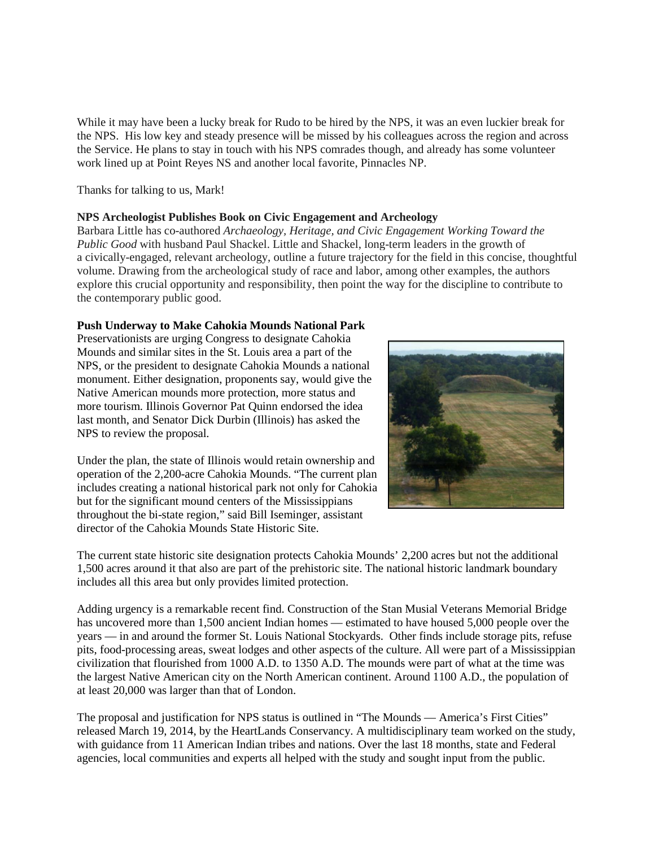While it may have been a lucky break for Rudo to be hired by the NPS, it was an even luckier break for the NPS. His low key and steady presence will be missed by his colleagues across the region and across the Service. He plans to stay in touch with his NPS comrades though, and already has some volunteer work lined up at Point Reyes NS and another local favorite, Pinnacles NP.

Thanks for talking to us, Mark!

#### **NPS Archeologist Publishes Book on Civic Engagement and Archeology**

Barbara Little has co-authored *Archaeology, Heritage, and Civic Engagement Working Toward the Public Good* with husband Paul Shackel. Little and Shackel, long-term leaders in the growth of a civically-engaged, relevant archeology, outline a future trajectory for the field in this concise, thoughtful volume. Drawing from the archeological study of race and labor, among other examples, the authors explore this crucial opportunity and responsibility, then point the way for the discipline to contribute to the contemporary public good.

#### **Push Underway to Make Cahokia Mounds National Park**

Preservationists are urging Congress to designate Cahokia Mounds and similar sites in the St. Louis area a part of the NPS, or the president to designate Cahokia Mounds a national monument. Either designation, proponents say, would give the Native American mounds more protection, more status and more tourism. Illinois Governor Pat Quinn endorsed the idea last month, and Senator Dick Durbin (Illinois) has asked the NPS to review the proposal.

Under the plan, the state of Illinois would retain ownership and operation of the 2,200-acre Cahokia Mounds. "The current plan includes creating a national historical park not only for Cahokia but for the significant mound centers of the Mississippians throughout the bi-state region," said Bill Iseminger, assistant director of the Cahokia Mounds State Historic Site.



The current state historic site designation protects Cahokia Mounds' 2,200 acres but not the additional 1,500 acres around it that also are part of the prehistoric site. The national historic landmark boundary includes all this area but only provides limited protection.

Adding urgency is a remarkable recent find. Construction of the Stan Musial Veterans Memorial Bridge has uncovered more than 1,500 ancient Indian homes — estimated to have housed 5,000 people over the years — in and around the former St. Louis National Stockyards. Other finds include storage pits, refuse pits, food-processing areas, sweat lodges and other aspects of the culture. All were part of a Mississippian civilization that flourished from 1000 A.D. to 1350 A.D. The mounds were part of what at the time was the largest Native American city on the North American continent. Around 1100 A.D., the population of at least 20,000 was larger than that of London.

The proposal and justification for NPS status is outlined in "The Mounds — America's First Cities" released March 19, 2014, by the HeartLands Conservancy. A multidisciplinary team worked on the study, with guidance from 11 American Indian tribes and nations. Over the last 18 months, state and Federal agencies, local communities and experts all helped with the study and sought input from the public.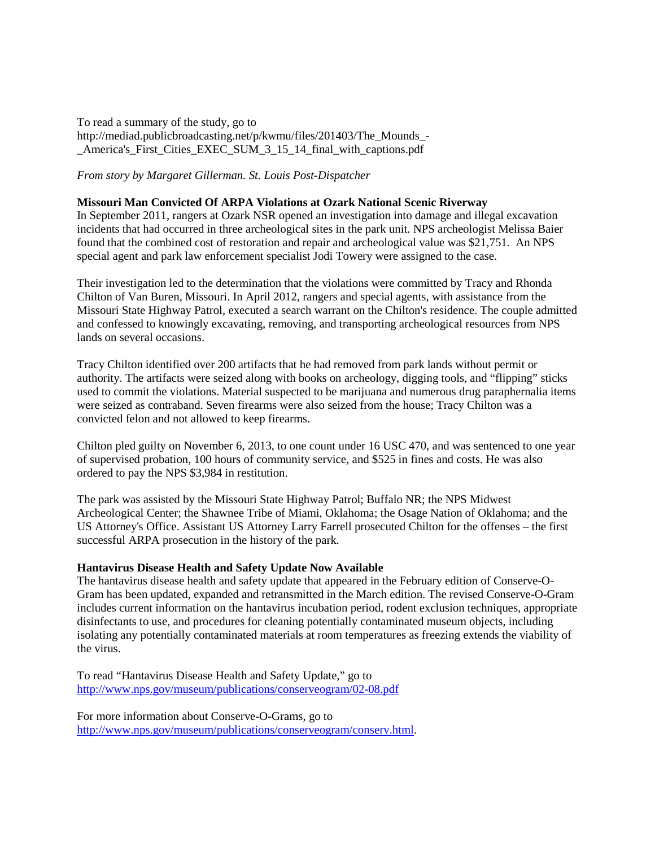To read a summary of the study, go to http://mediad.publicbroadcasting.net/p/kwmu/files/201403/The\_Mounds\_- America's First Cities EXEC SUM 3 15 14 final with captions.pdf

### *From story by Margaret Gillerman. St. Louis Post-Dispatcher*

### **Missouri Man Convicted Of ARPA Violations at Ozark National Scenic Riverway**

In September 2011, rangers at Ozark NSR opened an investigation into damage and illegal excavation incidents that had occurred in three archeological sites in the park unit. NPS archeologist Melissa Baier found that the combined cost of restoration and repair and archeological value was \$21,751. An NPS special agent and park law enforcement specialist Jodi Towery were assigned to the case.

Their investigation led to the determination that the violations were committed by Tracy and Rhonda Chilton of Van Buren, Missouri. In April 2012, rangers and special agents, with assistance from the Missouri State Highway Patrol, executed a search warrant on the Chilton's residence. The couple admitted and confessed to knowingly excavating, removing, and transporting archeological resources from NPS lands on several occasions.

Tracy Chilton identified over 200 artifacts that he had removed from park lands without permit or authority. The artifacts were seized along with books on archeology, digging tools, and "flipping" sticks used to commit the violations. Material suspected to be marijuana and numerous drug paraphernalia items were seized as contraband. Seven firearms were also seized from the house; Tracy Chilton was a convicted felon and not allowed to keep firearms.

Chilton pled guilty on November 6, 2013, to one count under 16 USC 470, and was sentenced to one year of supervised probation, 100 hours of community service, and \$525 in fines and costs. He was also ordered to pay the NPS \$3,984 in restitution.

The park was assisted by the Missouri State Highway Patrol; Buffalo NR; the NPS Midwest Archeological Center; the Shawnee Tribe of Miami, Oklahoma; the Osage Nation of Oklahoma; and the US Attorney's Office. Assistant US Attorney Larry Farrell prosecuted Chilton for the offenses – the first successful ARPA prosecution in the history of the park.

#### **Hantavirus Disease Health and Safety Update Now Available**

The hantavirus disease health and safety update that appeared in the February edition of Conserve-O-Gram has been updated, expanded and retransmitted in the March edition. The revised Conserve-O-Gram includes current information on the hantavirus incubation period, rodent exclusion techniques, appropriate disinfectants to use, and procedures for cleaning potentially contaminated museum objects, including isolating any potentially contaminated materials at room temperatures as freezing extends the viability of the virus.

To read "Hantavirus Disease Health and Safety Update," go to <http://www.nps.gov/museum/publications/conserveogram/02-08.pdf>

For more information about Conserve-O-Grams, go to [http://www.nps.gov/museum/publications/conserveogram/conserv.html.](http://www.nps.gov/museum/publications/conserveogram/conserv.html)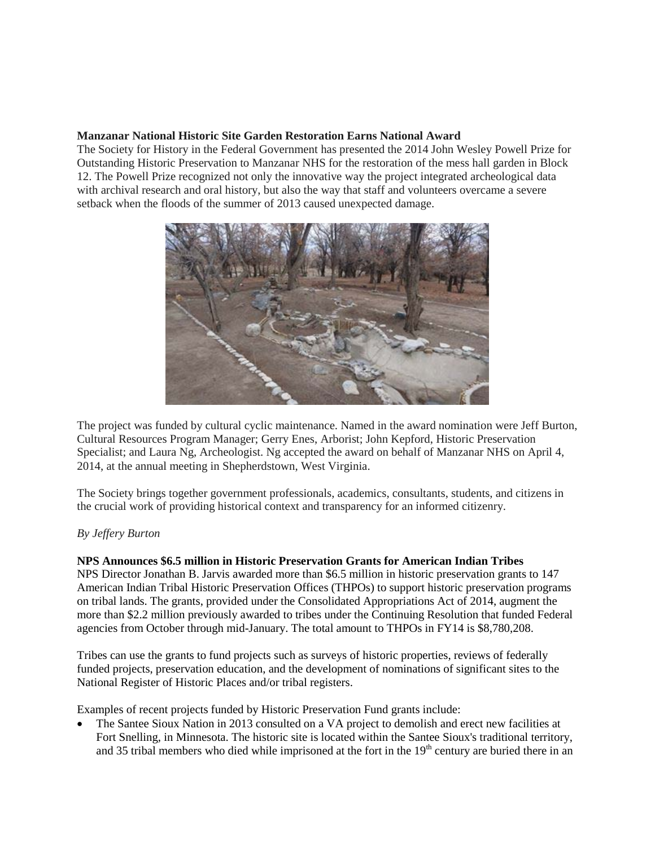# **Manzanar National Historic Site Garden Restoration Earns National Award**

The Society for History in the Federal Government has presented the 2014 John Wesley Powell Prize for Outstanding Historic Preservation to Manzanar NHS for the restoration of the mess hall garden in Block 12. The Powell Prize recognized not only the innovative way the project integrated archeological data with archival research and oral history, but also the way that staff and volunteers overcame a severe setback when the floods of the summer of 2013 caused unexpected damage.



The project was funded by cultural cyclic maintenance. Named in the award nomination were Jeff Burton, Cultural Resources Program Manager; Gerry Enes, Arborist; John Kepford, Historic Preservation Specialist; and Laura Ng, Archeologist. Ng accepted the award on behalf of Manzanar NHS on April 4, 2014, at the annual meeting in Shepherdstown, West Virginia.

The Society brings together government professionals, academics, consultants, students, and citizens in the crucial work of providing historical context and transparency for an informed citizenry.

## *By Jeffery Burton*

## **NPS Announces \$6.5 million in Historic Preservation Grants for American Indian Tribes**

NPS Director Jonathan B. Jarvis awarded more than \$6.5 million in historic preservation grants to 147 American Indian Tribal Historic Preservation Offices (THPOs) to support historic preservation programs on tribal lands. The grants, provided under the Consolidated Appropriations Act of 2014, augment the more than \$2.2 million previously awarded to tribes under the Continuing Resolution that funded Federal agencies from October through mid-January. The total amount to THPOs in FY14 is \$8,780,208.

Tribes can use the grants to fund projects such as surveys of historic properties, reviews of federally funded projects, preservation education, and the development of nominations of significant sites to the National Register of Historic Places and/or tribal registers.

Examples of recent projects funded by Historic Preservation Fund grants include:

• The Santee Sioux Nation in 2013 consulted on a VA project to demolish and erect new facilities at Fort Snelling, in Minnesota. The historic site is located within the Santee Sioux's traditional territory, and 35 tribal members who died while imprisoned at the fort in the  $19<sup>th</sup>$  century are buried there in an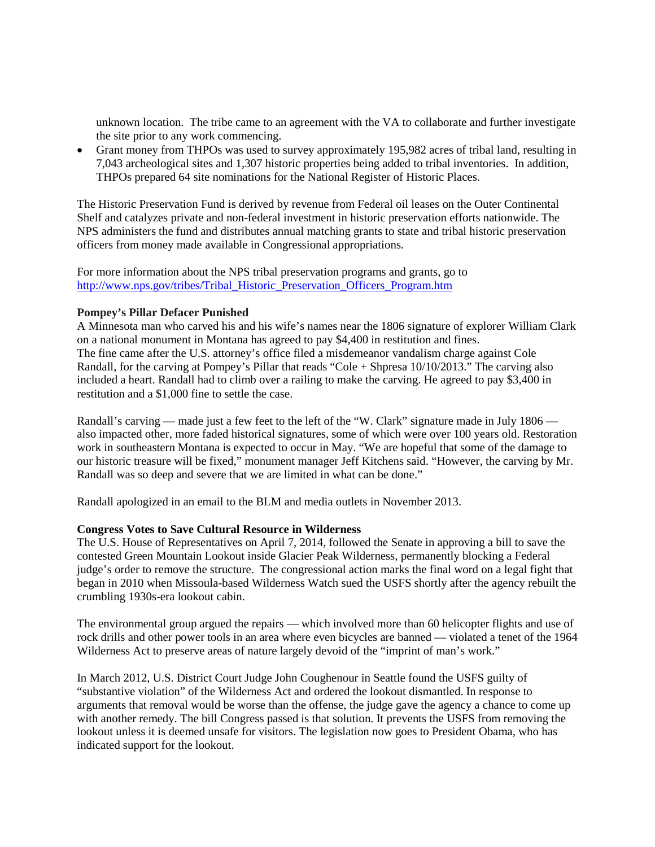unknown location. The tribe came to an agreement with the VA to collaborate and further investigate the site prior to any work commencing.

• Grant money from THPOs was used to survey approximately 195,982 acres of tribal land, resulting in 7,043 archeological sites and 1,307 historic properties being added to tribal inventories. In addition, THPOs prepared 64 site nominations for the National Register of Historic Places.

The Historic Preservation Fund is derived by revenue from Federal oil leases on the Outer Continental Shelf and catalyzes private and non-federal investment in historic preservation efforts nationwide. The NPS administers the fund and distributes annual matching grants to state and tribal historic preservation officers from money made available in Congressional appropriations.

For more information about the NPS tribal preservation programs and grants, go to [http://www.nps.gov/tribes/Tribal\\_Historic\\_Preservation\\_Officers\\_Program.htm](http://www.nps.gov/tribes/Tribal_Historic_Preservation_Officers_Program.htm)

## **Pompey's Pillar Defacer Punished**

A Minnesota man who carved his and his wife's names near the 1806 signature of explorer William Clark on a national monument in Montana has agreed to pay \$4,400 in restitution and fines. The fine came after the U.S. attorney's office filed a misdemeanor vandalism charge against Cole Randall, for the carving at Pompey's Pillar that reads "Cole + Shpresa 10/10/2013." The carving also included a heart. Randall had to climb over a railing to make the carving. He agreed to pay \$3,400 in restitution and a \$1,000 fine to settle the case.

Randall's carving — made just a few feet to the left of the "W. Clark" signature made in July 1806 also impacted other, more faded historical signatures, some of which were over 100 years old. Restoration work in southeastern Montana is expected to occur in May. "We are hopeful that some of the damage to our historic treasure will be fixed," monument manager Jeff Kitchens said. "However, the carving by Mr. Randall was so deep and severe that we are limited in what can be done."

Randall apologized in an email to the BLM and media outlets in November 2013.

## **Congress Votes to Save Cultural Resource in Wilderness**

The U.S. House of Representatives on April 7, 2014, followed the Senate in approving a bill to save the contested Green Mountain Lookout inside Glacier Peak Wilderness, permanently blocking a Federal judge's order to remove the structure. The congressional action marks the final word on a legal fight that began in 2010 when Missoula-based Wilderness Watch sued the USFS shortly after the agency rebuilt the crumbling 1930s-era lookout cabin.

The environmental group argued the repairs — which involved more than 60 helicopter flights and use of rock drills and other power tools in an area where even bicycles are banned — violated a tenet of the 1964 Wilderness Act to preserve areas of nature largely devoid of the "imprint of man's work."

In March 2012, U.S. District Court Judge John Coughenour in Seattle found the USFS guilty of "substantive violation" of the Wilderness Act and ordered the lookout dismantled. In response to arguments that removal would be worse than the offense, the judge gave the agency a chance to come up with another remedy. The bill Congress passed is that solution. It prevents the USFS from removing the lookout unless it is deemed unsafe for visitors. The legislation now goes to President Obama, who has indicated support for the lookout.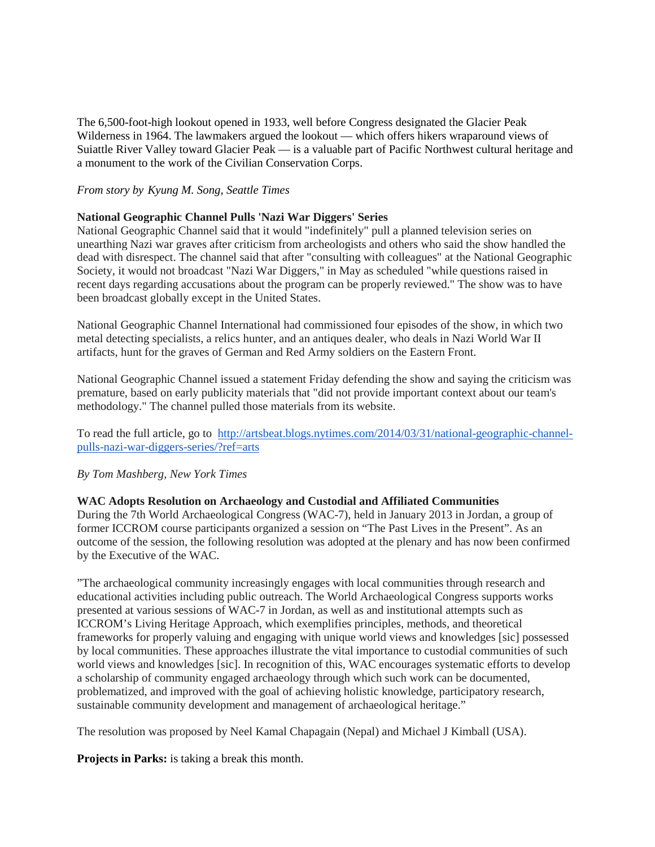The 6,500-foot-high lookout opened in 1933, well before Congress designated the Glacier Peak Wilderness in 1964. The lawmakers argued the lookout — which offers hikers wraparound views of Suiattle River Valley toward Glacier Peak — is a valuable part of Pacific Northwest cultural heritage and a monument to the work of the Civilian Conservation Corps.

### *From story by Kyung M. Song, Seattle Times*

## **National Geographic Channel Pulls 'Nazi War Diggers' Series**

National Geographic Channel said that it would "indefinitely" pull a planned television series on unearthing Nazi war graves after criticism from archeologists and others who said the show handled the dead with disrespect. The channel said that after "consulting with colleagues" at the National Geographic Society, it would not broadcast "Nazi War Diggers," in May as scheduled "while questions raised in recent days regarding accusations about the program can be properly reviewed." The show was to have been broadcast globally except in the United States.

National Geographic Channel International had commissioned four episodes of the show, in which two metal detecting specialists, a relics hunter, and an antiques dealer, who deals in Nazi World War II artifacts, hunt for the graves of German and Red Army soldiers on the Eastern Front.

National Geographic Channel issued a statement Friday defending the show and saying the criticism was premature, based on early publicity materials that "did not provide important context about our team's methodology." The channel pulled those materials from its website.

To read the full article, go to [http://artsbeat.blogs.nytimes.com/2014/03/31/national-geographic-channel](http://artsbeat.blogs.nytimes.com/2014/03/31/national-geographic-channel-pulls-nazi-war-diggers-series/?ref=arts)[pulls-nazi-war-diggers-series/?ref=arts](http://artsbeat.blogs.nytimes.com/2014/03/31/national-geographic-channel-pulls-nazi-war-diggers-series/?ref=arts)

#### *By Tom Mashberg, New York Times*

#### **WAC Adopts Resolution on Archaeology and Custodial and Affiliated Communities**

During the 7th World Archaeological Congress (WAC-7), held in January 2013 in Jordan, a group of former ICCROM course participants organized a session on "The Past Lives in the Present". As an outcome of the session, the following resolution was adopted at the plenary and has now been confirmed by the Executive of the WAC.

"The archaeological community increasingly engages with local communities through research and educational activities including public outreach. The World Archaeological Congress supports works presented at various sessions of WAC-7 in Jordan, as well as and institutional attempts such as ICCROM's Living Heritage Approach, which exemplifies principles, methods, and theoretical frameworks for properly valuing and engaging with unique world views and knowledges [sic] possessed by local communities. These approaches illustrate the vital importance to custodial communities of such world views and knowledges [sic]. In recognition of this, WAC encourages systematic efforts to develop a scholarship of community engaged archaeology through which such work can be documented, problematized, and improved with the goal of achieving holistic knowledge, participatory research, sustainable community development and management of archaeological heritage."

The resolution was proposed by Neel Kamal Chapagain (Nepal) and Michael J Kimball (USA).

**Projects in Parks:** is taking a break this month.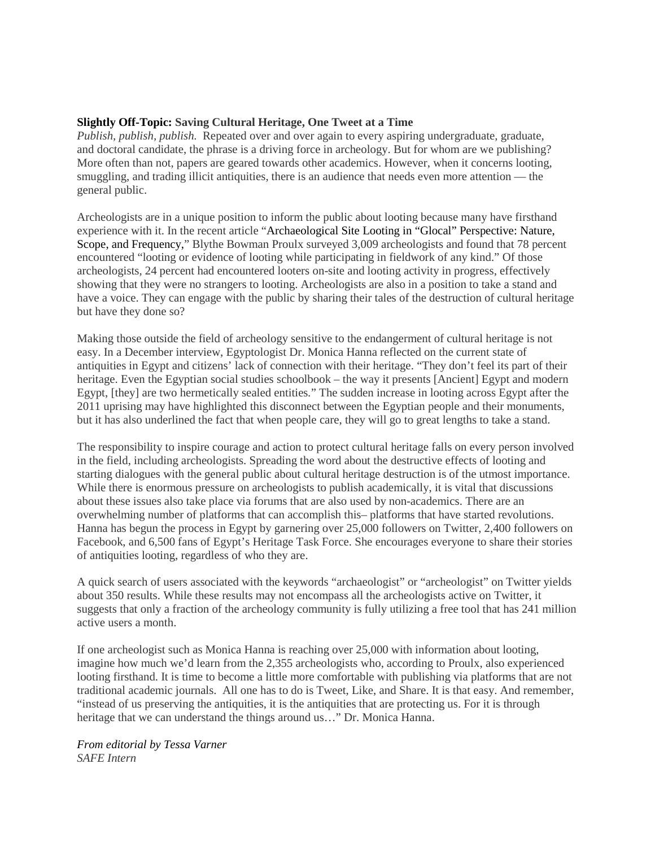## **Slightly Off-Topic: Saving Cultural Heritage, One Tweet at a Time**

*Publish, publish, publish.* Repeated over and over again to every aspiring undergraduate, graduate, and doctoral candidate, the phrase is a driving force in archeology. But for whom are we publishing? More often than not, papers are geared towards other academics. However, when it concerns looting, smuggling, and trading illicit antiquities, there is an audience that needs even more attention — the general public.

Archeologists are in a unique position to inform the public about looting because many have firsthand experience with it. In the recent article "Archaeological Site Looting in "Glocal" Perspective: Nature, Scope, and Frequency," Blythe Bowman Proulx surveyed 3,009 archeologists and found that 78 percent encountered "looting or evidence of looting while participating in fieldwork of any kind." Of those archeologists, 24 percent had encountered looters on-site and looting activity in progress, effectively showing that they were no strangers to looting. Archeologists are also in a position to take a stand and have a voice. They can engage with the public by sharing their tales of the destruction of cultural heritage but have they done so?

Making those outside the field of archeology sensitive to the endangerment of cultural heritage is not easy. In a December interview, Egyptologist Dr. Monica Hanna reflected on the current state of antiquities in Egypt and citizens' lack of connection with their heritage. "They don't feel its part of their heritage. Even the Egyptian social studies schoolbook – the way it presents [Ancient] Egypt and modern Egypt, [they] are two hermetically sealed entities*.*" The sudden increase in looting across Egypt after the 2011 uprising may have highlighted this disconnect between the Egyptian people and their monuments, but it has also underlined the fact that when people care, they will go to great lengths to take a stand.

The responsibility to inspire courage and action to protect cultural heritage falls on every person involved in the field, including archeologists. Spreading the word about the destructive effects of looting and starting dialogues with the general public about cultural heritage destruction is of the utmost importance. While there is enormous pressure on archeologists to publish academically, it is vital that discussions about these issues also take place via forums that are also used by non-academics. There are an overwhelming number of platforms that can accomplish this– platforms that have started revolutions. Hanna has begun the process in Egypt by garnering over 25,000 followers on Twitter, 2,400 followers on Facebook, and 6,500 fans of Egypt's Heritage Task Force. She encourages everyone to share their stories of antiquities looting, regardless of who they are.

A quick search of users associated with the keywords "archaeologist" or "archeologist" on Twitter yields about 350 results. While these results may not encompass all the archeologists active on Twitter, it suggests that only a fraction of the archeology community is fully utilizing a free tool that has 241 million active users a month.

If one archeologist such as Monica Hanna is reaching over 25,000 with information about looting, imagine how much we'd learn from the 2,355 archeologists who, according to Proulx, also experienced looting firsthand. It is time to become a little more comfortable with publishing via platforms that are not traditional academic journals. All one has to do is Tweet, Like, and Share. It is that easy. And remember, "instead of us preserving the antiquities, it is the antiquities that are protecting us. For it is through heritage that we can understand the things around us…" Dr. Monica Hanna.

*From editorial by Tessa Varner SAFE Intern*